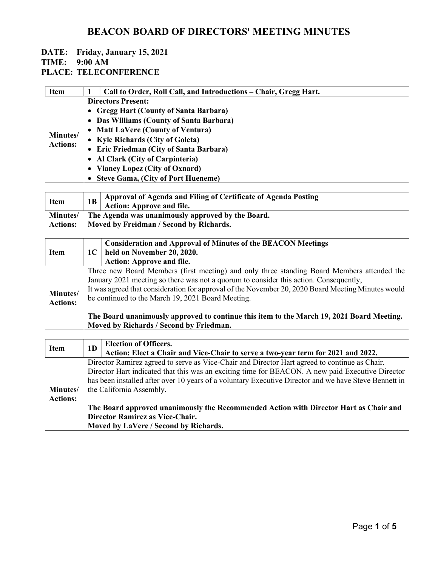#### DATE: Friday, January 15, 2021 TIME: 9:00 AM

PLACE: TELECONFERENCE

| <b>Item</b>                 |                           | Call to Order, Roll Call, and Introductions – Chair, Gregg Hart. |
|-----------------------------|---------------------------|------------------------------------------------------------------|
| Minutes/<br><b>Actions:</b> | <b>Directors Present:</b> |                                                                  |
|                             |                           | • Gregg Hart (County of Santa Barbara)                           |
|                             |                           | • Das Williams (County of Santa Barbara)                         |
|                             |                           | • Matt LaVere (County of Ventura)                                |
|                             |                           | • Kyle Richards (City of Goleta)                                 |
|                             |                           | • Eric Friedman (City of Santa Barbara)                          |
|                             |                           | • Al Clark (City of Carpinteria)                                 |
|                             |                           | • Vianey Lopez (City of Oxnard)                                  |
|                             |                           | • Steve Gama, (City of Port Hueneme)                             |

| <b>Item</b>     | Approval of Agenda and Filing of Certificate of Agenda Posting<br><b>Action: Approve and file.</b> |
|-----------------|----------------------------------------------------------------------------------------------------|
| <b>Minutes/</b> | The Agenda was unanimously approved by the Board.                                                  |
| <b>Actions:</b> | Moved by Freidman / Second by Richards.                                                            |

| <b>Item</b>                 | 1C | <b>Consideration and Approval of Minutes of the BEACON Meetings</b><br>held on November 20, 2020.<br>Action: Approve and file.                                                                                                                                                                                                                                                                                                                                                         |
|-----------------------------|----|----------------------------------------------------------------------------------------------------------------------------------------------------------------------------------------------------------------------------------------------------------------------------------------------------------------------------------------------------------------------------------------------------------------------------------------------------------------------------------------|
| Minutes/<br><b>Actions:</b> |    | Three new Board Members (first meeting) and only three standing Board Members attended the<br>January 2021 meeting so there was not a quorum to consider this action. Consequently,<br>It was agreed that consideration for approval of the November 20, 2020 Board Meeting Minutes would<br>be continued to the March 19, 2021 Board Meeting.<br>The Board unanimously approved to continue this item to the March 19, 2021 Board Meeting.<br>Moved by Richards / Second by Friedman. |

|                 | 1 <sub>D</sub>                                                                                        | <b>Election of Officers.</b>                                                     |  |
|-----------------|-------------------------------------------------------------------------------------------------------|----------------------------------------------------------------------------------|--|
| <b>Item</b>     |                                                                                                       | Action: Elect a Chair and Vice-Chair to serve a two-year term for 2021 and 2022. |  |
|                 | Director Ramirez agreed to serve as Vice-Chair and Director Hart agreed to continue as Chair.         |                                                                                  |  |
|                 | Director Hart indicated that this was an exciting time for BEACON. A new paid Executive Director      |                                                                                  |  |
|                 | has been installed after over 10 years of a voluntary Executive Director and we have Steve Bennett in |                                                                                  |  |
| Minutes/        |                                                                                                       | the California Assembly.                                                         |  |
| <b>Actions:</b> |                                                                                                       |                                                                                  |  |
|                 | The Board approved unanimously the Recommended Action with Director Hart as Chair and                 |                                                                                  |  |
|                 | <b>Director Ramirez as Vice-Chair.</b>                                                                |                                                                                  |  |
|                 | Moved by LaVere / Second by Richards.                                                                 |                                                                                  |  |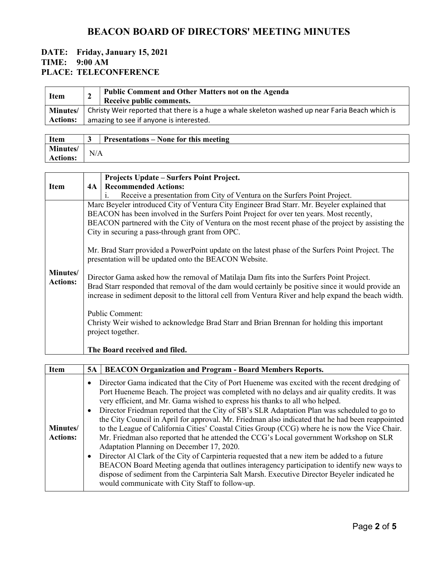#### DATE: Friday, January 15, 2021 TIME: 9:00 AM PLACE: TELECONFERENCE

| <b>Item</b>      | ◢ | <b>Public Comment and Other Matters not on the Agenda</b><br>Receive public comments.           |
|------------------|---|-------------------------------------------------------------------------------------------------|
| <b>Minutes</b> / |   | Christy Weir reported that there is a huge a whale skeleton washed up near Faria Beach which is |
| <b>Actions:</b>  |   | amazing to see if anyone is interested.                                                         |
|                  |   |                                                                                                 |

| <b>Item</b>     | $\sim$ | <b>Presentations – None for this meeting</b> |
|-----------------|--------|----------------------------------------------|
| <b>Minutes/</b> |        |                                              |
| <b>Actions:</b> | N/A    |                                              |

|                             |    | Projects Update – Surfers Point Project.                                                                                                                                                                                                                                                                |
|-----------------------------|----|---------------------------------------------------------------------------------------------------------------------------------------------------------------------------------------------------------------------------------------------------------------------------------------------------------|
| <b>Item</b>                 | 4A | <b>Recommended Actions:</b>                                                                                                                                                                                                                                                                             |
|                             |    | Receive a presentation from City of Ventura on the Surfers Point Project.                                                                                                                                                                                                                               |
|                             |    | Marc Beyeler introduced City of Ventura City Engineer Brad Starr. Mr. Beyeler explained that                                                                                                                                                                                                            |
|                             |    | BEACON has been involved in the Surfers Point Project for over ten years. Most recently,                                                                                                                                                                                                                |
|                             |    | BEACON partnered with the City of Ventura on the most recent phase of the project by assisting the                                                                                                                                                                                                      |
|                             |    | City in securing a pass-through grant from OPC.                                                                                                                                                                                                                                                         |
| Minutes/<br><b>Actions:</b> |    | Mr. Brad Starr provided a PowerPoint update on the latest phase of the Surfers Point Project. The<br>presentation will be updated onto the BEACON Website.                                                                                                                                              |
|                             |    | Director Gama asked how the removal of Matilaja Dam fits into the Surfers Point Project.<br>Brad Starr responded that removal of the dam would certainly be positive since it would provide an<br>increase in sediment deposit to the littoral cell from Ventura River and help expand the beach width. |
|                             |    | <b>Public Comment:</b><br>Christy Weir wished to acknowledge Brad Starr and Brian Brennan for holding this important<br>project together.                                                                                                                                                               |
|                             |    | The Board received and filed.                                                                                                                                                                                                                                                                           |

| <b>Item</b>                         |
|-------------------------------------|
| <b>Minutes</b> /<br><b>Actions:</b> |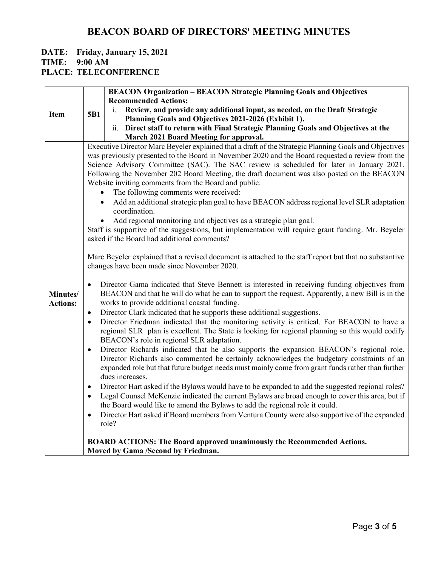#### DATE: Friday, January 15, 2021 TIME: 9:00 AM

PLACE: TELECONFERENCE

|                             | <b>BEACON Organization - BEACON Strategic Planning Goals and Objectives</b>                                                                                                                                                                                                                                                                                                                                                                                                                                                                                                                                                                                                                                                                                                                                                                                                                                                                                                      |
|-----------------------------|----------------------------------------------------------------------------------------------------------------------------------------------------------------------------------------------------------------------------------------------------------------------------------------------------------------------------------------------------------------------------------------------------------------------------------------------------------------------------------------------------------------------------------------------------------------------------------------------------------------------------------------------------------------------------------------------------------------------------------------------------------------------------------------------------------------------------------------------------------------------------------------------------------------------------------------------------------------------------------|
| <b>Item</b>                 | <b>Recommended Actions:</b>                                                                                                                                                                                                                                                                                                                                                                                                                                                                                                                                                                                                                                                                                                                                                                                                                                                                                                                                                      |
|                             | Review, and provide any additional input, as needed, on the Draft Strategic<br>i.<br>5B1                                                                                                                                                                                                                                                                                                                                                                                                                                                                                                                                                                                                                                                                                                                                                                                                                                                                                         |
|                             | Planning Goals and Objectives 2021-2026 (Exhibit 1).                                                                                                                                                                                                                                                                                                                                                                                                                                                                                                                                                                                                                                                                                                                                                                                                                                                                                                                             |
|                             | ii. Direct staff to return with Final Strategic Planning Goals and Objectives at the                                                                                                                                                                                                                                                                                                                                                                                                                                                                                                                                                                                                                                                                                                                                                                                                                                                                                             |
|                             | March 2021 Board Meeting for approval.                                                                                                                                                                                                                                                                                                                                                                                                                                                                                                                                                                                                                                                                                                                                                                                                                                                                                                                                           |
|                             | Executive Director Marc Beyeler explained that a draft of the Strategic Planning Goals and Objectives<br>was previously presented to the Board in November 2020 and the Board requested a review from the<br>Science Advisory Committee (SAC). The SAC review is scheduled for later in January 2021.<br>Following the November 202 Board Meeting, the draft document was also posted on the BEACON<br>Website inviting comments from the Board and public.<br>The following comments were received:<br>$\bullet$<br>Add an additional strategic plan goal to have BEACON address regional level SLR adaptation<br>$\bullet$<br>coordination.<br>Add regional monitoring and objectives as a strategic plan goal.<br>Staff is supportive of the suggestions, but implementation will require grant funding. Mr. Beyeler<br>asked if the Board had additional comments?<br>Marc Beyeler explained that a revised document is attached to the staff report but that no substantive |
| Minutes/<br><b>Actions:</b> | changes have been made since November 2020.<br>Director Gama indicated that Steve Bennett is interested in receiving funding objectives from<br>$\bullet$<br>BEACON and that he will do what he can to support the request. Apparently, a new Bill is in the<br>works to provide additional coastal funding.<br>Director Clark indicated that he supports these additional suggestions.<br>$\bullet$<br>Director Friedman indicated that the monitoring activity is critical. For BEACON to have a<br>$\bullet$<br>regional SLR plan is excellent. The State is looking for regional planning so this would codify<br>BEACON's role in regional SLR adaptation.<br>Director Richards indicated that he also supports the expansion BEACON's regional role.<br>$\bullet$                                                                                                                                                                                                          |
|                             | Director Richards also commented be certainly acknowledges the budgetary constraints of an<br>expanded role but that future budget needs must mainly come from grant funds rather than further<br>dues increases.<br>Director Hart asked if the Bylaws would have to be expanded to add the suggested regional roles?<br>$\bullet$<br>Legal Counsel McKenzie indicated the current Bylaws are broad enough to cover this area, but if<br>$\bullet$                                                                                                                                                                                                                                                                                                                                                                                                                                                                                                                               |
|                             | the Board would like to amend the Bylaws to add the regional role it could.                                                                                                                                                                                                                                                                                                                                                                                                                                                                                                                                                                                                                                                                                                                                                                                                                                                                                                      |
|                             | Director Hart asked if Board members from Ventura County were also supportive of the expanded<br>$\bullet$<br>role?                                                                                                                                                                                                                                                                                                                                                                                                                                                                                                                                                                                                                                                                                                                                                                                                                                                              |
|                             | <b>BOARD ACTIONS: The Board approved unanimously the Recommended Actions.</b><br>Moved by Gama /Second by Friedman.                                                                                                                                                                                                                                                                                                                                                                                                                                                                                                                                                                                                                                                                                                                                                                                                                                                              |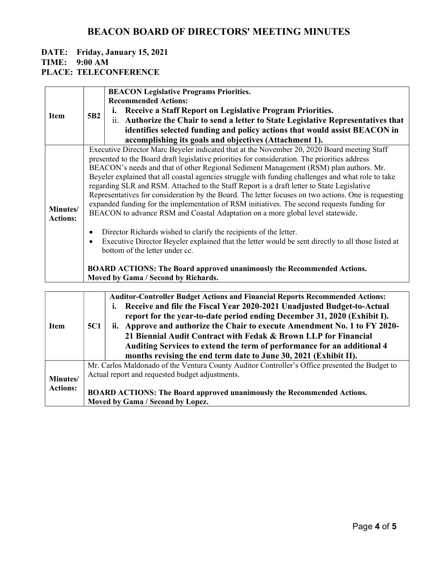#### DATE: Friday, January 15, 2021 TIME: 9:00 AM PLACE: TELECONFERENCE

| <b>Item</b>     |                                                                                                                      | <b>BEACON Legislative Programs Priorities.</b>                                                                                                                                                     |  |  |
|-----------------|----------------------------------------------------------------------------------------------------------------------|----------------------------------------------------------------------------------------------------------------------------------------------------------------------------------------------------|--|--|
|                 | 5B <sub>2</sub>                                                                                                      | <b>Recommended Actions:</b>                                                                                                                                                                        |  |  |
|                 |                                                                                                                      | i. Receive a Staff Report on Legislative Program Priorities.                                                                                                                                       |  |  |
|                 |                                                                                                                      | ii. Authorize the Chair to send a letter to State Legislative Representatives that                                                                                                                 |  |  |
|                 |                                                                                                                      | identifies selected funding and policy actions that would assist BEACON in                                                                                                                         |  |  |
|                 |                                                                                                                      | accomplishing its goals and objectives (Attachment 1).                                                                                                                                             |  |  |
|                 |                                                                                                                      | Executive Director Marc Beyeler indicated that at the November 20, 2020 Board meeting Staff                                                                                                        |  |  |
|                 | presented to the Board draft legislative priorities for consideration. The priorities address                        |                                                                                                                                                                                                    |  |  |
|                 | BEACON's needs and that of other Regional Sediment Management (RSM) plan authors. Mr.                                |                                                                                                                                                                                                    |  |  |
|                 |                                                                                                                      | Beyeler explained that all coastal agencies struggle with funding challenges and what role to take                                                                                                 |  |  |
|                 |                                                                                                                      | regarding SLR and RSM. Attached to the Staff Report is a draft letter to State Legislative<br>Representatives for consideration by the Board. The letter focuses on two actions. One is requesting |  |  |
|                 |                                                                                                                      | expanded funding for the implementation of RSM initiatives. The second requests funding for                                                                                                        |  |  |
| Minutes/        |                                                                                                                      | BEACON to advance RSM and Coastal Adaptation on a more global level statewide.                                                                                                                     |  |  |
| <b>Actions:</b> |                                                                                                                      |                                                                                                                                                                                                    |  |  |
|                 | Director Richards wished to clarify the recipients of the letter.<br>$\bullet$                                       |                                                                                                                                                                                                    |  |  |
|                 |                                                                                                                      | Executive Director Beyeler explained that the letter would be sent directly to all those listed at                                                                                                 |  |  |
|                 |                                                                                                                      | bottom of the letter under cc.                                                                                                                                                                     |  |  |
|                 | <b>BOARD ACTIONS: The Board approved unanimously the Recommended Actions.</b><br>Moved by Gama / Second by Richards. |                                                                                                                                                                                                    |  |  |
|                 |                                                                                                                      |                                                                                                                                                                                                    |  |  |
|                 |                                                                                                                      | <b>Auditor-Controller Budget Actions and Financial Reports Recommended Actions:</b>                                                                                                                |  |  |
|                 |                                                                                                                      | Receive and file the Fiscal Year 2020-2021 Unadjusted Budget-to-Actual<br>i.                                                                                                                       |  |  |
|                 |                                                                                                                      | report for the year-to-date period ending December 31, 2020 (Exhibit I).                                                                                                                           |  |  |
| Item            | <b>5C1</b>                                                                                                           | ii. Approve and authorize the Chair to execute Amendment No. 1 to FY 2020-                                                                                                                         |  |  |
|                 |                                                                                                                      | 21 Biennial Audit Contract with Fedak & Brown LLP for Financial                                                                                                                                    |  |  |
|                 |                                                                                                                      | Auditing Services to extend the term of performance for an additional 4                                                                                                                            |  |  |
|                 |                                                                                                                      | months revising the end term date to June 30, 2021 (Exhibit II).                                                                                                                                   |  |  |
|                 |                                                                                                                      | Mr. Carlos Maldonado of the Ventura County Auditor Controller's Office presented the Budget to                                                                                                     |  |  |
| Minutes/        |                                                                                                                      | Actual report and requested budget adjustments.                                                                                                                                                    |  |  |
| <b>Actions:</b> |                                                                                                                      |                                                                                                                                                                                                    |  |  |
|                 |                                                                                                                      | <b>BOARD ACTIONS: The Board approved unanimously the Recommended Actions.</b>                                                                                                                      |  |  |
|                 |                                                                                                                      | Moved by Gama / Second by Lopez.                                                                                                                                                                   |  |  |